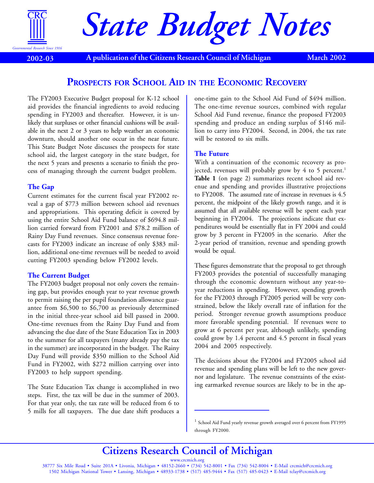

**2002-03**

# *State Budget Notes*

**A publication of the Citizens Research Council of Michigan March 2002**

# **PROSPECTS FOR SCHOOL AID IN THE ECONOMIC RECOVERY**

The FY2003 Executive Budget proposal for K-12 school aid provides the financial ingredients to avoid reducing spending in FY2003 and thereafter. However, it is unlikely that surpluses or other financial cushions will be available in the next 2 or 3 years to help weather an economic downturn, should another one occur in the near future. This State Budget Note discusses the prospects for state school aid, the largest category in the state budget, for the next 5 years and presents a scenario to finish the process of managing through the current budget problem.

# **The Gap**

Current estimates for the current fiscal year FY2002 reveal a gap of \$773 million between school aid revenues and appropriations. This operating deficit is covered by using the entire School Aid Fund balance of \$694.8 million carried forward from FY2001 and \$78.2 million of Rainy Day Fund revenues. Since consensus revenue forecasts for FY2003 indicate an increase of only \$383 million, additional one-time revenues will be needed to avoid cutting FY2003 spending below FY2002 levels.

# **The Current Budget**

The FY2003 budget proposal not only covers the remaining gap, but provides enough year to year revenue growth to permit raising the per pupil foundation allowance guarantee from \$6,500 to \$6,700 as previously determined in the initial three-year school aid bill passed in 2000. One-time revenues from the Rainy Day Fund and from advancing the due date of the State Education Tax in 2003 to the summer for all taxpayers (many already pay the tax in the summer) are incorporated in the budget. The Rainy Day Fund will provide \$350 million to the School Aid Fund in FY2002, with \$272 million carrying over into FY2003 to help support spending.

The State Education Tax change is accomplished in two steps. First, the tax will be due in the summer of 2003. For that year only, the tax rate will be reduced from 6 to 5 mills for all taxpayers. The due date shift produces a

one-time gain to the School Aid Fund of \$494 million. The one-time revenue sources, combined with regular School Aid Fund revenue, finance the proposed FY2003 spending and produce an ending surplus of \$146 million to carry into FY2004. Second, in 2004, the tax rate will be restored to six mills.

# **The Future**

With a continuation of the economic recovery as projected, revenues will probably grow by 4 to 5 percent.<sup>1</sup> **Table 1** (on page 2) summarizes recent school aid revenue and spending and provides illustrative projections to FY2008. The assumed rate of increase in revenues is 4.5 percent, the midpoint of the likely growth range, and it is assumed that all available revenue will be spent each year beginning in FY2004. The projections indicate that expenditures would be essentially flat in FY 2004 and could grow by 3 percent in FY2005 in the scenario. After the 2-year period of transition, revenue and spending growth would be equal.

These figures demonstrate that the proposal to get through FY2003 provides the potential of successfully managing through the economic downturn without any year-toyear reductions in spending. However, spending growth for the FY2003 through FY2005 period will be very constrained, below the likely overall rate of inflation for the period. Stronger revenue growth assumptions produce more favorable spending potential. If revenues were to grow at 6 percent per year, although unlikely, spending could grow by 1.4 percent and 4.5 percent in fiscal years 2004 and 2005 respectively.

The decisions about the FY2004 and FY2005 school aid revenue and spending plans will be left to the new governor and legislature. The revenue constraints of the existing earmarked revenue sources are likely to be in the ap-

**Citizens Research Council of Michigan**

<sup>&</sup>lt;sup>1</sup> School Aid Fund yearly revenue growth averaged over 6 percent from FY1995 through FY2000.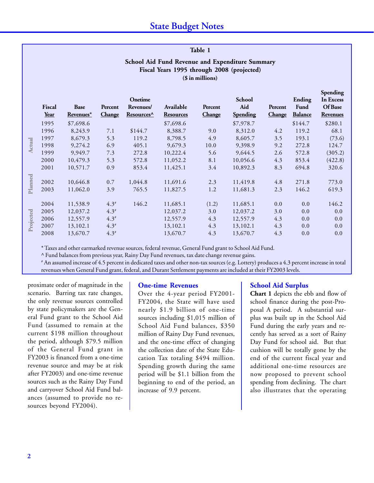| Table 1       |                                                                                                                   |                          |                   |                                                |                               |                   |                                  |                   |                                  |                                                     |  |  |
|---------------|-------------------------------------------------------------------------------------------------------------------|--------------------------|-------------------|------------------------------------------------|-------------------------------|-------------------|----------------------------------|-------------------|----------------------------------|-----------------------------------------------------|--|--|
|               | School Aid Fund Revenue and Expenditure Summary<br>Fiscal Years 1995 through 2008 (projected)<br>(\$ in millions) |                          |                   |                                                |                               |                   |                                  |                   |                                  |                                                     |  |  |
|               | Fiscal<br>Year                                                                                                    | <b>Base</b><br>Revenues* | Percent<br>Change | Onetime<br>Revenues/<br>Resources <sup>^</sup> | Available<br><b>Resources</b> | Percent<br>Change | School<br>Aid<br><b>Spending</b> | Percent<br>Change | Ending<br>Fund<br><b>Balance</b> | Spending<br>In Excess<br>Of Base<br><b>Revenues</b> |  |  |
| <b>Actual</b> | 1995                                                                                                              | \$7,698.6                |                   |                                                | \$7,698.6                     |                   | \$7,978.7                        |                   | \$144.7                          | \$280.1                                             |  |  |
|               | 1996                                                                                                              | 8,243.9                  | 7.1               | \$144.7                                        | 8,388.7                       | 9.0               | 8,312.0                          | 4.2               | 119.2                            | 68.1                                                |  |  |
|               | 1997                                                                                                              | 8,679.3                  | 5.3               | 119.2                                          | 8,798.5                       | 4.9               | 8,605.7                          | 3.5               | 193.1                            | (73.6)                                              |  |  |
|               | 1998                                                                                                              | 9,274.2                  | 6.9               | 405.1                                          | 9,679.3                       | 10.0              | 9,398.9                          | 9.2               | 272.8                            | 124.7                                               |  |  |
|               | 1999                                                                                                              | 9,949.7                  | 7.3               | 272.8                                          | 10,222.4                      | 5.6               | 9,644.5                          | 2.6               | 572.8                            | (305.2)                                             |  |  |
|               | 2000                                                                                                              | 10,479.3                 | 5.3               | 572.8                                          | 11,052.2                      | 8.1               | 10,056.6                         | 4.3               | 853.4                            | (422.8)                                             |  |  |
|               | 2001                                                                                                              | 10,571.7                 | 0.9               | 853.4                                          | 11,425.1                      | 3.4               | 10,892.3                         | 8.3               | 694.8                            | 320.6                                               |  |  |
|               |                                                                                                                   |                          |                   |                                                |                               |                   |                                  |                   |                                  |                                                     |  |  |
| Planned       | 2002                                                                                                              | 10,646.8                 | 0.7               | 1,044.8                                        | 11,691.6                      | 2.3               | 11,419.8                         | 4.8               | 271.8                            | 773.0                                               |  |  |
|               | 2003                                                                                                              | 11,062.0                 | 3.9               | 765.5                                          | 11,827.5                      | 1.2               | 11,681.3                         | 2.3               | 146.2                            | 619.3                                               |  |  |
| Projected     | 2004                                                                                                              | 11,538.9                 | $4.3*$            | 146.2                                          | 11,685.1                      | (1.2)             | 11,685.1                         | 0.0               | 0.0                              | 146.2                                               |  |  |
|               | 2005                                                                                                              | 12,037.2                 | $4.3*$            |                                                | 12,037.2                      | 3.0               | 12,037.2                         | 3.0               | 0.0                              | 0.0                                                 |  |  |
|               | 2006                                                                                                              | 12,557.9                 | $4.3*$            |                                                | 12,557.9                      | 4.3               | 12,557.9                         | 4.3               | 0.0                              | 0.0                                                 |  |  |
|               | 2007                                                                                                              | 13,102.1                 | $4.3*$            |                                                | 13,102.1                      | 4.3               | 13,102.1                         | 4.3               | 0.0                              | 0.0                                                 |  |  |
|               | 2008                                                                                                              | 13,670.7                 | $4.3*$            |                                                | 13,670.7                      | 4.3               | 13,670.7                         | 4.3               | 0.0                              | 0.0                                                 |  |  |

\* Taxes and other earmarked revenue sources, federal revenue, General Fund grant to School Aid Fund.

^ Fund balances from previous year, Rainy Day Fund revenues, tax date change revenue gains.

# An assumed increase of 4.5 percent in dedicated taxes and other non-tax sources (e.g. Lottery) produces a 4.3 percent increase in total revenues when General Fund grant, federal, and Durant Settlement payments are included at their FY2003 levels.

proximate order of magnitude in the scenario. Barring tax rate changes, the only revenue sources controlled by state policymakers are the General Fund grant to the School Aid Fund (assumed to remain at the current \$198 million throughout the period, although \$79.5 million of the General Fund grant in FY2003 is financed from a one-time revenue source and may be at risk after FY2003) and one-time revenue sources such as the Rainy Day Fund and carryover School Aid Fund balances (assumed to provide no resources beyond FY2004).

# **One-time Revenues**

Over the 4-year period FY2001- FY2004, the State will have used nearly \$1.9 billion of one-time sources including \$1,015 million of School Aid Fund balances, \$350 million of Rainy Day Fund revenues, and the one-time effect of changing the collection date of the State Education Tax totaling \$494 million. Spending growth during the same period will be \$1.1 billion from the beginning to end of the period, an increase of 9.9 percent.

# **School Aid Surplus**

**Chart 1** depicts the ebb and flow of school finance during the post-Proposal A period. A substantial surplus was built up in the School Aid Fund during the early years and recently has served as a sort of Rainy Day Fund for school aid. But that cushion will be totally gone by the end of the current fiscal year and additional one-time resources are now proposed to prevent school spending from declining. The chart also illustrates that the operating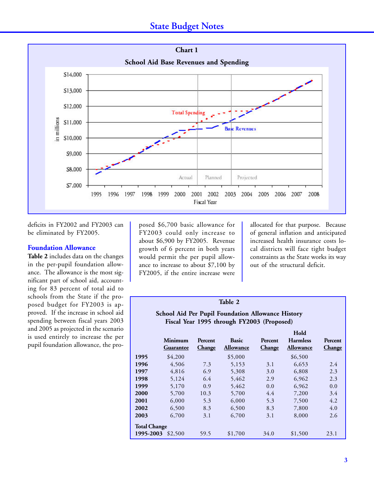# **State Budget Notes**



deficits in FY2002 and FY2003 can be eliminated by FY2005.

### **Foundation Allowance**

**Table 2** includes data on the changes in the per-pupil foundation allowance. The allowance is the most significant part of school aid, accounting for 83 percent of total aid to schools from the State if the proposed budget for FY2003 is approved. If the increase in school aid spending between fiscal years 2003 and 2005 as projected in the scenario is used entirely to increase the per pupil foundation allowance, the pro-

posed \$6,700 basic allowance for FY2003 could only increase to about \$6,900 by FY2005. Revenue growth of 6 percent in both years would permit the per pupil allowance to increase to about \$7,100 by FY2005, if the entire increase were

allocated for that purpose. Because of general inflation and anticipated increased health insurance costs local districts will face tight budget constraints as the State works its way out of the structural deficit.

# **Table 2**

# **School Aid Per Pupil Foundation Allowance History Fiscal Year 1995 through FY2003 (Proposed)**

|                     |                  |               |                  |               | Hold             |               |  |  |
|---------------------|------------------|---------------|------------------|---------------|------------------|---------------|--|--|
|                     | <b>Minimum</b>   | Percent       | <b>Basic</b>     | Percent       | <b>Harmless</b>  | Percent       |  |  |
|                     | <b>Guarantee</b> | <b>Change</b> | <b>Allowance</b> | <b>Change</b> | <b>Allowance</b> | <b>Change</b> |  |  |
| 1995                | \$4,200          |               | \$5,000          |               | \$6,500          |               |  |  |
| 1996                | 4,506            | 7.3           | 5,153            | 3.1           | 6.653            | 2.4           |  |  |
| 1997                | 4,816            | 6.9           | 5,308            | 3.0           | 6,808            | 2.3           |  |  |
| 1998                | 5,124            | 6.4           | 5,462            | 2.9           | 6,962            | 2.3           |  |  |
| 1999                | 5,170            | 0.9           | 5,462            | 0.0           | 6,962            | 0.0           |  |  |
| 2000                | 5,700            | 10.3          | 5,700            | 4.4           | 7,200            | 3.4           |  |  |
| 2001                | 6,000            | 5.3           | 6,000            | 5.3           | 7,500            | 4.2           |  |  |
| 2002                | 6,500            | 8.3           | 6,500            | 8.3           | 7,800            | 4.0           |  |  |
| 2003                | 6,700            | 3.1           | 6,700            | 3.1           | 8,000            | 2.6           |  |  |
| <b>Total Change</b> |                  |               |                  |               |                  |               |  |  |
| 1995-2003           | \$2,500          | 59.5          | \$1,700          | 34.0          | \$1,500          | 23.1          |  |  |